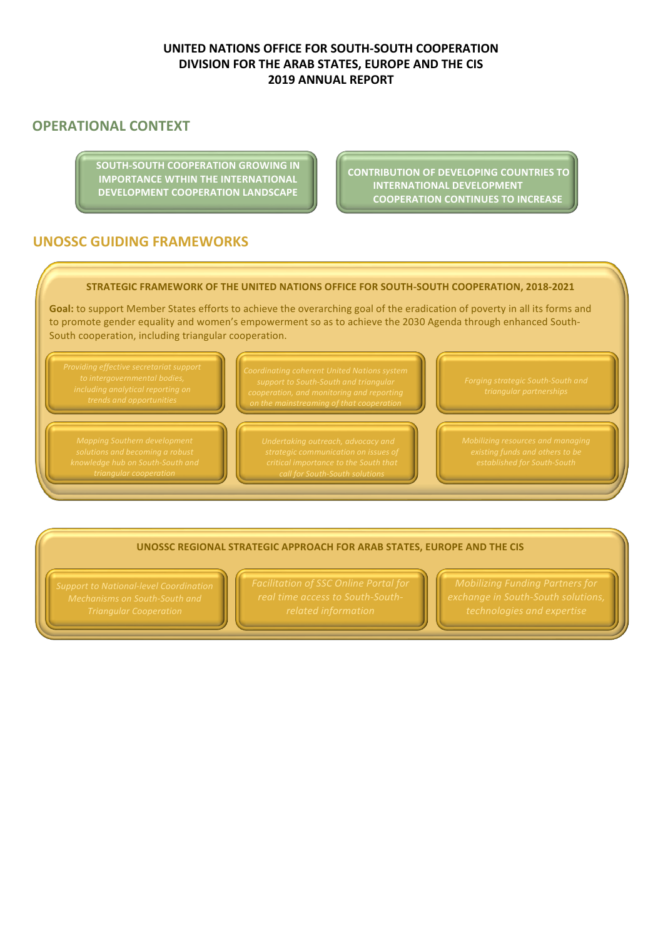# **UNITED NATIONS OFFICE FOR SOUTH-SOUTH COOPERATION DIVISION FOR THE ARAB STATES, EUROPE AND THE CIS 2019 ANNUAL REPORT**

# **OPERATIONAL CONTEXT**

**SOUTH-SOUTH COOPERATION GROWING IN IMPORTANCE WTHIN THE INTERNATIONAL DEVELOPMENT COOPERATION LANDSCAPE** 

**CONTRIBUTION OF DEVELOPING COUNTRIES TO INTERNATIONAL DEVELOPMENT COOPERATION CONTINUES TO INCREASE** 

# **UNOSSC GUIDING FRAMEWORKS**

#### **STRATEGIC FRAMEWORK OF THE UNITED NATIONS OFFICE FOR SOUTH-SOUTH COOPERATION, 2018-2021**

Goal: to support Member States efforts to achieve the overarching goal of the eradication of poverty in all its forms and to promote gender equality and women's empowerment so as to achieve the 2030 Agenda through enhanced South-South cooperation, including triangular cooperation.

*triangular cooperation*

*on the mainstreaming of that cooperation*

*call for South-South solutions*

#### **UNOSSC REGIONAL STRATEGIC APPROACH FOR ARAB STATES, EUROPE AND THE CIS**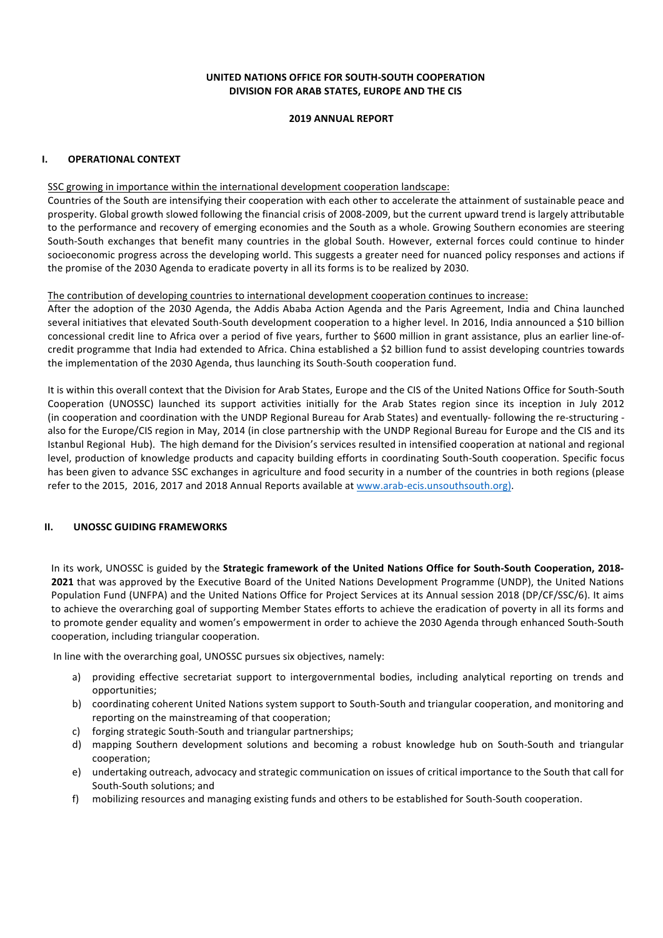#### **UNITED NATIONS OFFICE FOR SOUTH-SOUTH COOPERATION DIVISION FOR ARAB STATES, EUROPE AND THE CIS**

#### **2019 ANNUAL REPORT**

## **I. OPERATIONAL CONTEXT**

#### SSC growing in importance within the international development cooperation landscape:

Countries of the South are intensifying their cooperation with each other to accelerate the attainment of sustainable peace and prosperity. Global growth slowed following the financial crisis of 2008-2009, but the current upward trend is largely attributable to the performance and recovery of emerging economies and the South as a whole. Growing Southern economies are steering South-South exchanges that benefit many countries in the global South. However, external forces could continue to hinder socioeconomic progress across the developing world. This suggests a greater need for nuanced policy responses and actions if the promise of the 2030 Agenda to eradicate poverty in all its forms is to be realized by 2030.

#### The contribution of developing countries to international development cooperation continues to increase:

After the adoption of the 2030 Agenda, the Addis Ababa Action Agenda and the Paris Agreement, India and China launched several initiatives that elevated South-South development cooperation to a higher level. In 2016, India announced a \$10 billion concessional credit line to Africa over a period of five years, further to \$600 million in grant assistance, plus an earlier line-ofcredit programme that India had extended to Africa. China established a \$2 billion fund to assist developing countries towards the implementation of the 2030 Agenda, thus launching its South-South cooperation fund.

It is within this overall context that the Division for Arab States, Europe and the CIS of the United Nations Office for South-South Cooperation (UNOSSC) launched its support activities initially for the Arab States region since its inception in July 2012 (in cooperation and coordination with the UNDP Regional Bureau for Arab States) and eventually- following the re-structuring also for the Europe/CIS region in May, 2014 (in close partnership with the UNDP Regional Bureau for Europe and the CIS and its Istanbul Regional Hub). The high demand for the Division's services resulted in intensified cooperation at national and regional level, production of knowledge products and capacity building efforts in coordinating South-South cooperation. Specific focus has been given to advance SSC exchanges in agriculture and food security in a number of the countries in both regions (please refer to the 2015, 2016, 2017 and 2018 Annual Reports available at www.arab-ecis.unsouthsouth.org).

#### **II.** UNOSSC GUIDING FRAMEWORKS

In its work, UNOSSC is guided by the **Strategic framework of the United Nations Office for South-South Cooperation, 2018-2021** that was approved by the Executive Board of the United Nations Development Programme (UNDP), the United Nations Population Fund (UNFPA) and the United Nations Office for Project Services at its Annual session 2018 (DP/CF/SSC/6). It aims to achieve the overarching goal of supporting Member States efforts to achieve the eradication of poverty in all its forms and to promote gender equality and women's empowerment in order to achieve the 2030 Agenda through enhanced South-South cooperation, including triangular cooperation.

In line with the overarching goal, UNOSSC pursues six objectives, namely:

- a) providing effective secretariat support to intergovernmental bodies, including analytical reporting on trends and opportunities;
- b) coordinating coherent United Nations system support to South-South and triangular cooperation, and monitoring and reporting on the mainstreaming of that cooperation;
- c) forging strategic South-South and triangular partnerships;
- d) mapping Southern development solutions and becoming a robust knowledge hub on South-South and triangular cooperation;
- e) undertaking outreach, advocacy and strategic communication on issues of critical importance to the South that call for South-South solutions; and
- f) mobilizing resources and managing existing funds and others to be established for South-South cooperation.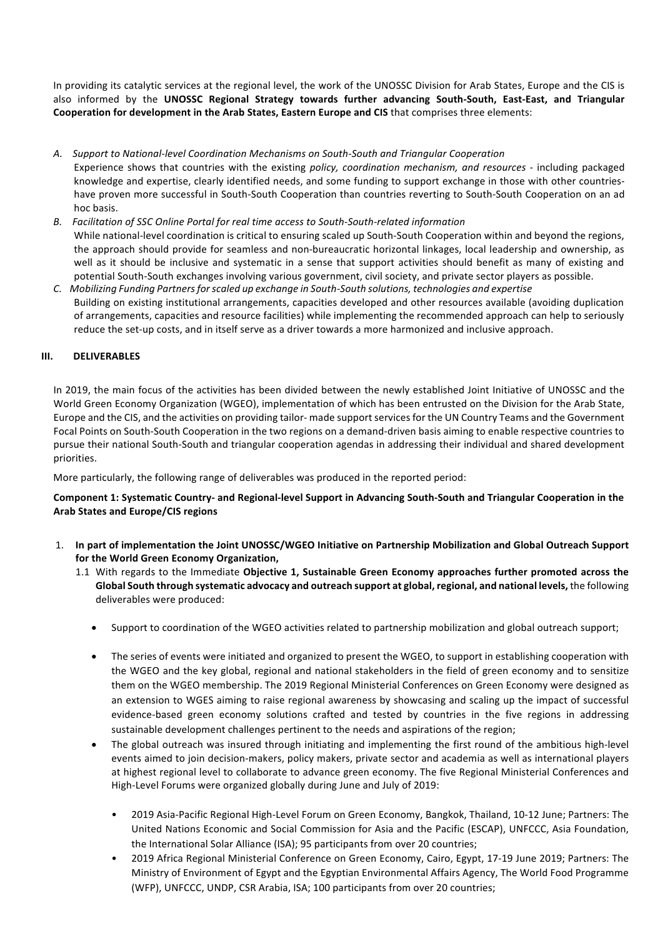In providing its catalytic services at the regional level, the work of the UNOSSC Division for Arab States, Europe and the CIS is also informed by the UNOSSC Regional Strategy towards further advancing South-South, East-East, and Triangular **Cooperation for development in the Arab States, Eastern Europe and CIS** that comprises three elements:

- *A. Support to National-level Coordination Mechanisms on South-South and Triangular Cooperation*
- Experience shows that countries with the existing *policy, coordination mechanism, and resources* including packaged knowledge and expertise, clearly identified needs, and some funding to support exchange in those with other countrieshave proven more successful in South-South Cooperation than countries reverting to South-South Cooperation on an ad hoc basis.
- *B. Facilitation of SSC Online Portal for real time access to South-South-related information* While national-level coordination is critical to ensuring scaled up South-South Cooperation within and beyond the regions, the approach should provide for seamless and non-bureaucratic horizontal linkages, local leadership and ownership, as well as it should be inclusive and systematic in a sense that support activities should benefit as many of existing and potential South-South exchanges involving various government, civil society, and private sector players as possible.
- *C. Mobilizing Funding Partners for scaled up exchange in South-South solutions, technologies and expertise* Building on existing institutional arrangements, capacities developed and other resources available (avoiding duplication of arrangements, capacities and resource facilities) while implementing the recommended approach can help to seriously reduce the set-up costs, and in itself serve as a driver towards a more harmonized and inclusive approach.

## **III.** DELIVERABLES

In 2019, the main focus of the activities has been divided between the newly established Joint Initiative of UNOSSC and the World Green Economy Organization (WGEO), implementation of which has been entrusted on the Division for the Arab State, Europe and the CIS, and the activities on providing tailor- made support services for the UN Country Teams and the Government Focal Points on South-South Cooperation in the two regions on a demand-driven basis aiming to enable respective countries to pursue their national South-South and triangular cooperation agendas in addressing their individual and shared development priorities.

More particularly, the following range of deliverables was produced in the reported period:

Component 1: Systematic Country- and Regional-level Support in Advancing South-South and Triangular Cooperation in the **Arab States and Europe/CIS regions**

- 1. In part of implementation the Joint UNOSSC/WGEO Initiative on Partnership Mobilization and Global Outreach Support for the World Green Economy Organization,
	- 1.1 With regards to the Immediate Objective 1, Sustainable Green Economy approaches further promoted across the **Global South through systematic advocacy and outreach support at global, regional, and national levels,** the following deliverables were produced:
		- Support to coordination of the WGEO activities related to partnership mobilization and global outreach support;
		- The series of events were initiated and organized to present the WGEO, to support in establishing cooperation with the WGEO and the key global, regional and national stakeholders in the field of green economy and to sensitize them on the WGEO membership. The 2019 Regional Ministerial Conferences on Green Economy were designed as an extension to WGES aiming to raise regional awareness by showcasing and scaling up the impact of successful evidence-based green economy solutions crafted and tested by countries in the five regions in addressing sustainable development challenges pertinent to the needs and aspirations of the region;
		- The global outreach was insured through initiating and implementing the first round of the ambitious high-level events aimed to join decision-makers, policy makers, private sector and academia as well as international players at highest regional level to collaborate to advance green economy. The five Regional Ministerial Conferences and High-Level Forums were organized globally during June and July of 2019:
			- 2019 Asia-Pacific Regional High-Level Forum on Green Economy, Bangkok, Thailand, 10-12 June; Partners: The United Nations Economic and Social Commission for Asia and the Pacific (ESCAP), UNFCCC, Asia Foundation, the International Solar Alliance (ISA); 95 participants from over 20 countries;
			- 2019 Africa Regional Ministerial Conference on Green Economy, Cairo, Egypt, 17-19 June 2019; Partners: The Ministry of Environment of Egypt and the Egyptian Environmental Affairs Agency, The World Food Programme (WFP), UNFCCC, UNDP, CSR Arabia, ISA; 100 participants from over 20 countries;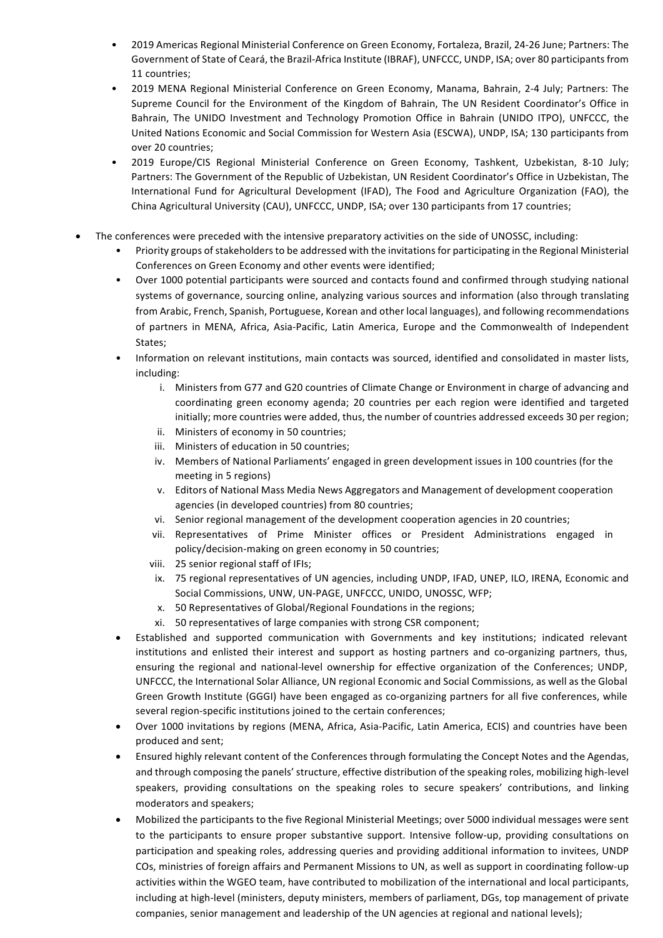- 2019 Americas Regional Ministerial Conference on Green Economy, Fortaleza, Brazil, 24-26 June; Partners: The Government of State of Ceará, the Brazil-Africa Institute (IBRAF), UNFCCC, UNDP, ISA; over 80 participants from 11 countries;
- 2019 MENA Regional Ministerial Conference on Green Economy, Manama, Bahrain, 2-4 July; Partners: The Supreme Council for the Environment of the Kingdom of Bahrain, The UN Resident Coordinator's Office in Bahrain, The UNIDO Investment and Technology Promotion Office in Bahrain (UNIDO ITPO), UNFCCC, the United Nations Economic and Social Commission for Western Asia (ESCWA), UNDP, ISA; 130 participants from over 20 countries:
- 2019 Europe/CIS Regional Ministerial Conference on Green Economy, Tashkent, Uzbekistan, 8-10 July; Partners: The Government of the Republic of Uzbekistan, UN Resident Coordinator's Office in Uzbekistan, The International Fund for Agricultural Development (IFAD), The Food and Agriculture Organization (FAO), the China Agricultural University (CAU), UNFCCC, UNDP, ISA; over 130 participants from 17 countries;
- The conferences were preceded with the intensive preparatory activities on the side of UNOSSC, including:
	- Priority groups of stakeholders to be addressed with the invitations for participating in the Regional Ministerial Conferences on Green Economy and other events were identified;
	- Over 1000 potential participants were sourced and contacts found and confirmed through studying national systems of governance, sourcing online, analyzing various sources and information (also through translating from Arabic, French, Spanish, Portuguese, Korean and other local languages), and following recommendations of partners in MENA, Africa, Asia-Pacific, Latin America, Europe and the Commonwealth of Independent States;
	- Information on relevant institutions, main contacts was sourced, identified and consolidated in master lists, including:
		- i. Ministers from G77 and G20 countries of Climate Change or Environment in charge of advancing and coordinating green economy agenda; 20 countries per each region were identified and targeted initially; more countries were added, thus, the number of countries addressed exceeds 30 per region;
		- ii. Ministers of economy in 50 countries;
		- iii. Ministers of education in 50 countries;
		- iv. Members of National Parliaments' engaged in green development issues in 100 countries (for the meeting in 5 regions)
		- v. Editors of National Mass Media News Aggregators and Management of development cooperation agencies (in developed countries) from 80 countries;
		- vi. Senior regional management of the development cooperation agencies in 20 countries:
		- vii. Representatives of Prime Minister offices or President Administrations engaged in policy/decision-making on green economy in 50 countries;
		- viii. 25 senior regional staff of IFIs;
		- ix. 75 regional representatives of UN agencies, including UNDP, IFAD, UNEP, ILO, IRENA, Economic and Social Commissions, UNW, UN-PAGE, UNFCCC, UNIDO, UNOSSC, WFP;
		- x. 50 Representatives of Global/Regional Foundations in the regions;
		- xi. 50 representatives of large companies with strong CSR component;
	- Established and supported communication with Governments and key institutions; indicated relevant institutions and enlisted their interest and support as hosting partners and co-organizing partners, thus, ensuring the regional and national-level ownership for effective organization of the Conferences; UNDP, UNFCCC, the International Solar Alliance, UN regional Economic and Social Commissions, as well as the Global Green Growth Institute (GGGI) have been engaged as co-organizing partners for all five conferences, while several region-specific institutions joined to the certain conferences;
	- Over 1000 invitations by regions (MENA, Africa, Asia-Pacific, Latin America, ECIS) and countries have been produced and sent;
	- Ensured highly relevant content of the Conferences through formulating the Concept Notes and the Agendas, and through composing the panels' structure, effective distribution of the speaking roles, mobilizing high-level speakers, providing consultations on the speaking roles to secure speakers' contributions, and linking moderators and speakers;
	- Mobilized the participants to the five Regional Ministerial Meetings; over 5000 individual messages were sent to the participants to ensure proper substantive support. Intensive follow-up, providing consultations on participation and speaking roles, addressing queries and providing additional information to invitees, UNDP COs, ministries of foreign affairs and Permanent Missions to UN, as well as support in coordinating follow-up activities within the WGEO team, have contributed to mobilization of the international and local participants, including at high-level (ministers, deputy ministers, members of parliament, DGs, top management of private companies, senior management and leadership of the UN agencies at regional and national levels);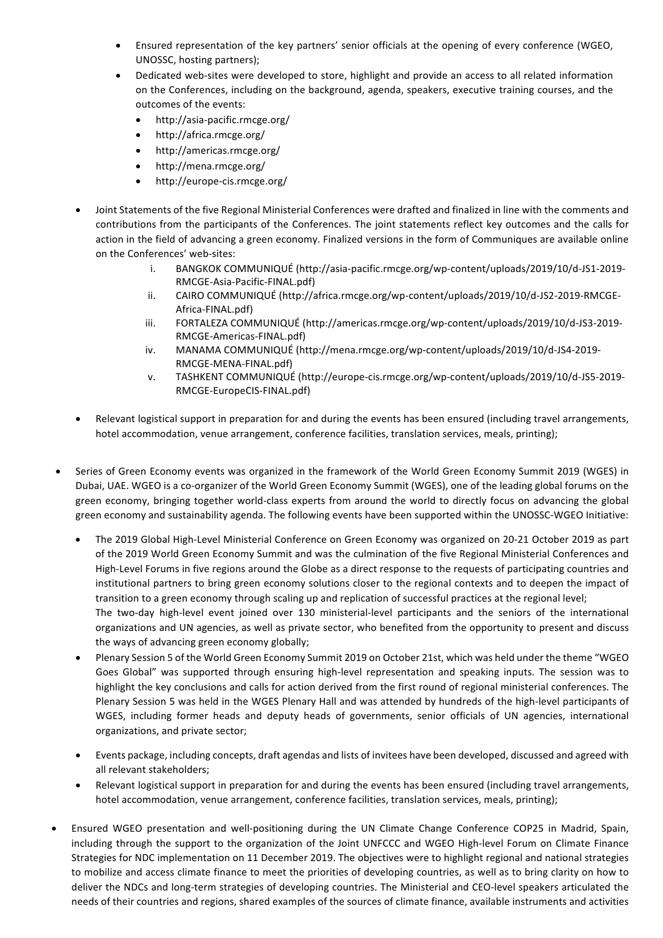- Ensured representation of the key partners' senior officials at the opening of every conference (WGEO, UNOSSC, hosting partners);
- Dedicated web-sites were developed to store, highlight and provide an access to all related information on the Conferences, including on the background, agenda, speakers, executive training courses, and the outcomes of the events:
	- http://asia-pacific.rmcge.org/
	- http://africa.rmcge.org/
	- http://americas.rmcge.org/
	- http://mena.rmcge.org/
	- http://europe-cis.rmcge.org/
- Joint Statements of the five Regional Ministerial Conferences were drafted and finalized in line with the comments and contributions from the participants of the Conferences. The joint statements reflect key outcomes and the calls for action in the field of advancing a green economy. Finalized versions in the form of Communiques are available online on the Conferences' web-sites:
	- i. BANGKOK COMMUNIQUÉ (http://asia-pacific.rmcge.org/wp-content/uploads/2019/10/d-JS1-2019-RMCGE-Asia-Pacific-FINAL.pdf)
	- ii. CAIRO COMMUNIQUÉ (http://africa.rmcge.org/wp-content/uploads/2019/10/d-JS2-2019-RMCGE-Africa-FINAL.pdf)
	- iii. FORTALEZA COMMUNIQUÉ (http://americas.rmcge.org/wp-content/uploads/2019/10/d-JS3-2019-RMCGE-Americas-FINAL.pdf)
	- iv. MANAMA COMMUNIQUÉ (http://mena.rmcge.org/wp-content/uploads/2019/10/d-JS4-2019-RMCGE-MENA-FINAL.pdf)
	- v. TASHKENT COMMUNIQUÉ (http://europe-cis.rmcge.org/wp-content/uploads/2019/10/d-JS5-2019-RMCGE-EuropeCIS-FINAL.pdf)
- Relevant logistical support in preparation for and during the events has been ensured (including travel arrangements, hotel accommodation, venue arrangement, conference facilities, translation services, meals, printing);
- Series of Green Economy events was organized in the framework of the World Green Economy Summit 2019 (WGES) in Dubai, UAE. WGEO is a co-organizer of the World Green Economy Summit (WGES), one of the leading global forums on the green economy, bringing together world-class experts from around the world to directly focus on advancing the global green economy and sustainability agenda. The following events have been supported within the UNOSSC-WGEO Initiative:
	- The 2019 Global High-Level Ministerial Conference on Green Economy was organized on 20-21 October 2019 as part of the 2019 World Green Economy Summit and was the culmination of the five Regional Ministerial Conferences and High-Level Forums in five regions around the Globe as a direct response to the requests of participating countries and institutional partners to bring green economy solutions closer to the regional contexts and to deepen the impact of transition to a green economy through scaling up and replication of successful practices at the regional level; The two-day high-level event joined over 130 ministerial-level participants and the seniors of the international
		- organizations and UN agencies, as well as private sector, who benefited from the opportunity to present and discuss the ways of advancing green economy globally;
	- Plenary Session 5 of the World Green Economy Summit 2019 on October 21st, which was held under the theme "WGEO Goes Global" was supported through ensuring high-level representation and speaking inputs. The session was to highlight the key conclusions and calls for action derived from the first round of regional ministerial conferences. The Plenary Session 5 was held in the WGES Plenary Hall and was attended by hundreds of the high-level participants of WGES, including former heads and deputy heads of governments, senior officials of UN agencies, international organizations, and private sector;
	- Events package, including concepts, draft agendas and lists of invitees have been developed, discussed and agreed with all relevant stakeholders;
	- Relevant logistical support in preparation for and during the events has been ensured (including travel arrangements, hotel accommodation, venue arrangement, conference facilities, translation services, meals, printing);
- Ensured WGEO presentation and well-positioning during the UN Climate Change Conference COP25 in Madrid, Spain, including through the support to the organization of the Joint UNFCCC and WGEO High-level Forum on Climate Finance Strategies for NDC implementation on 11 December 2019. The objectives were to highlight regional and national strategies to mobilize and access climate finance to meet the priorities of developing countries, as well as to bring clarity on how to deliver the NDCs and long-term strategies of developing countries. The Ministerial and CEO-level speakers articulated the needs of their countries and regions, shared examples of the sources of climate finance, available instruments and activities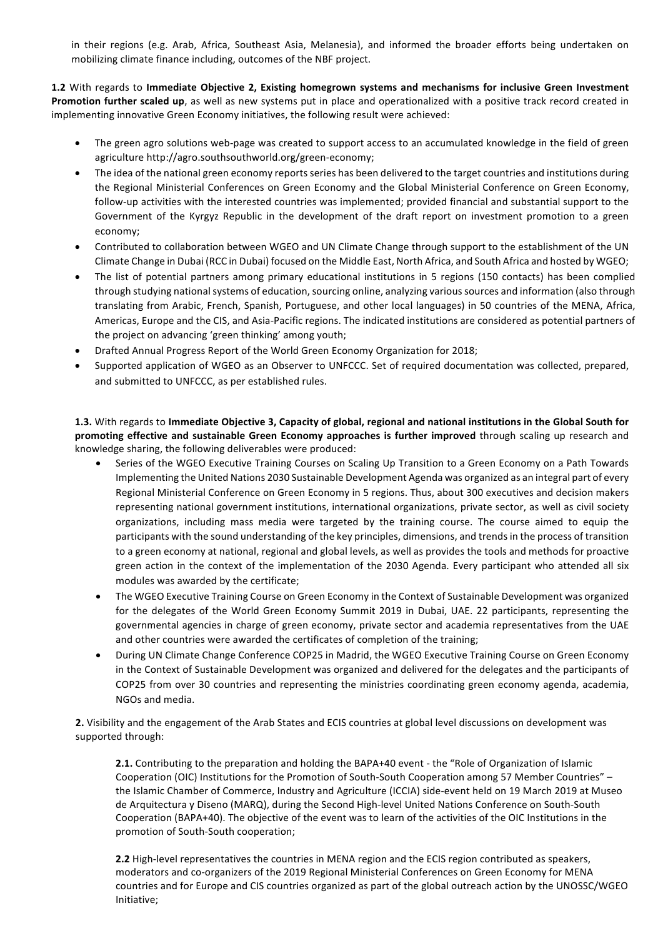in their regions (e.g. Arab, Africa, Southeast Asia, Melanesia), and informed the broader efforts being undertaken on mobilizing climate finance including, outcomes of the NBF project.

**1.2** With regards to Immediate Objective 2, Existing homegrown systems and mechanisms for inclusive Green Investment Promotion further scaled up, as well as new systems put in place and operationalized with a positive track record created in implementing innovative Green Economy initiatives, the following result were achieved:

- The green agro solutions web-page was created to support access to an accumulated knowledge in the field of green agriculture http://agro.southsouthworld.org/green-economy;
- The idea of the national green economy reports series has been delivered to the target countries and institutions during the Regional Ministerial Conferences on Green Economy and the Global Ministerial Conference on Green Economy, follow-up activities with the interested countries was implemented; provided financial and substantial support to the Government of the Kyrgyz Republic in the development of the draft report on investment promotion to a green economy;
- Contributed to collaboration between WGEO and UN Climate Change through support to the establishment of the UN Climate Change in Dubai (RCC in Dubai) focused on the Middle East, North Africa, and South Africa and hosted by WGEO;
- The list of potential partners among primary educational institutions in 5 regions (150 contacts) has been complied through studying national systems of education, sourcing online, analyzing various sources and information (also through translating from Arabic, French, Spanish, Portuguese, and other local languages) in 50 countries of the MENA, Africa, Americas, Europe and the CIS, and Asia-Pacific regions. The indicated institutions are considered as potential partners of the project on advancing 'green thinking' among youth;
- Drafted Annual Progress Report of the World Green Economy Organization for 2018;
- Supported application of WGEO as an Observer to UNFCCC. Set of required documentation was collected, prepared, and submitted to UNFCCC, as per established rules.

1.3. With regards to Immediate Objective 3, Capacity of global, regional and national institutions in the Global South for promoting effective and sustainable Green Economy approaches is further improved through scaling up research and knowledge sharing, the following deliverables were produced:

- Series of the WGEO Executive Training Courses on Scaling Up Transition to a Green Economy on a Path Towards Implementing the United Nations 2030 Sustainable Development Agenda was organized as an integral part of every Regional Ministerial Conference on Green Economy in 5 regions. Thus, about 300 executives and decision makers representing national government institutions, international organizations, private sector, as well as civil society organizations, including mass media were targeted by the training course. The course aimed to equip the participants with the sound understanding of the key principles, dimensions, and trends in the process of transition to a green economy at national, regional and global levels, as well as provides the tools and methods for proactive green action in the context of the implementation of the 2030 Agenda. Every participant who attended all six modules was awarded by the certificate:
- The WGEO Executive Training Course on Green Economy in the Context of Sustainable Development was organized for the delegates of the World Green Economy Summit 2019 in Dubai, UAE. 22 participants, representing the governmental agencies in charge of green economy, private sector and academia representatives from the UAE and other countries were awarded the certificates of completion of the training;
- During UN Climate Change Conference COP25 in Madrid, the WGEO Executive Training Course on Green Economy in the Context of Sustainable Development was organized and delivered for the delegates and the participants of COP25 from over 30 countries and representing the ministries coordinating green economy agenda, academia, NGOs and media.

**2.** Visibility and the engagement of the Arab States and ECIS countries at global level discussions on development was supported through:

**2.1.** Contributing to the preparation and holding the BAPA+40 event - the "Role of Organization of Islamic Cooperation (OIC) Institutions for the Promotion of South-South Cooperation among 57 Member Countries" – the Islamic Chamber of Commerce, Industry and Agriculture (ICCIA) side-event held on 19 March 2019 at Museo de Arquitectura y Diseno (MARQ), during the Second High-level United Nations Conference on South-South Cooperation (BAPA+40). The objective of the event was to learn of the activities of the OIC Institutions in the promotion of South-South cooperation;

**2.2** High-level representatives the countries in MENA region and the ECIS region contributed as speakers, moderators and co-organizers of the 2019 Regional Ministerial Conferences on Green Economy for MENA countries and for Europe and CIS countries organized as part of the global outreach action by the UNOSSC/WGEO Initiative;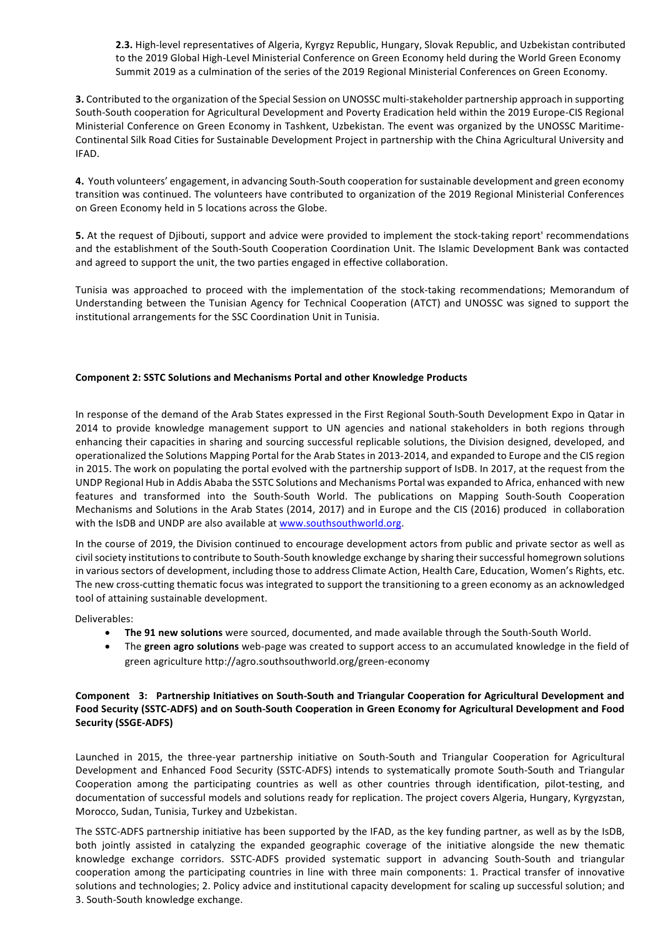**2.3.** High-level representatives of Algeria, Kyrgyz Republic, Hungary, Slovak Republic, and Uzbekistan contributed to the 2019 Global High-Level Ministerial Conference on Green Economy held during the World Green Economy Summit 2019 as a culmination of the series of the 2019 Regional Ministerial Conferences on Green Economy.

**3.** Contributed to the organization of the Special Session on UNOSSC multi-stakeholder partnership approach in supporting South-South cooperation for Agricultural Development and Poverty Eradication held within the 2019 Europe-CIS Regional Ministerial Conference on Green Economy in Tashkent, Uzbekistan. The event was organized by the UNOSSC Maritime-Continental Silk Road Cities for Sustainable Development Project in partnership with the China Agricultural University and IFAD.

**4.** Youth volunteers' engagement, in advancing South-South cooperation for sustainable development and green economy transition was continued. The volunteers have contributed to organization of the 2019 Regional Ministerial Conferences on Green Economy held in 5 locations across the Globe.

**5.** At the request of Djibouti, support and advice were provided to implement the stock-taking report' recommendations and the establishment of the South-South Cooperation Coordination Unit. The Islamic Development Bank was contacted and agreed to support the unit, the two parties engaged in effective collaboration.

Tunisia was approached to proceed with the implementation of the stock-taking recommendations; Memorandum of Understanding between the Tunisian Agency for Technical Cooperation (ATCT) and UNOSSC was signed to support the institutional arrangements for the SSC Coordination Unit in Tunisia.

#### **Component 2: SSTC Solutions and Mechanisms Portal and other Knowledge Products**

In response of the demand of the Arab States expressed in the First Regional South-South Development Expo in Qatar in 2014 to provide knowledge management support to UN agencies and national stakeholders in both regions through enhancing their capacities in sharing and sourcing successful replicable solutions, the Division designed, developed, and operationalized the Solutions Mapping Portal for the Arab States in 2013-2014, and expanded to Europe and the CIS region in 2015. The work on populating the portal evolved with the partnership support of IsDB. In 2017, at the request from the UNDP Regional Hub in Addis Ababa the SSTC Solutions and Mechanisms Portal was expanded to Africa, enhanced with new features and transformed into the South-South World. The publications on Mapping South-South Cooperation Mechanisms and Solutions in the Arab States (2014, 2017) and in Europe and the CIS (2016) produced in collaboration with the IsDB and UNDP are also available at www.southsouthworld.org.

In the course of 2019, the Division continued to encourage development actors from public and private sector as well as civil society institutions to contribute to South-South knowledge exchange by sharing their successful homegrown solutions in various sectors of development, including those to address Climate Action, Health Care, Education, Women's Rights, etc. The new cross-cutting thematic focus was integrated to support the transitioning to a green economy as an acknowledged tool of attaining sustainable development.

Deliverables:

- The 91 new solutions were sourced, documented, and made available through the South-South World.
- The green agro solutions web-page was created to support access to an accumulated knowledge in the field of green agriculture http://agro.southsouthworld.org/green-economy

# Component 3: Partnership Initiatives on South-South and Triangular Cooperation for Agricultural Development and Food Security (SSTC-ADFS) and on South-South Cooperation in Green Economy for Agricultural Development and Food **Security (SSGE-ADFS)**

Launched in 2015, the three-year partnership initiative on South-South and Triangular Cooperation for Agricultural Development and Enhanced Food Security (SSTC-ADFS) intends to systematically promote South-South and Triangular Cooperation among the participating countries as well as other countries through identification, pilot-testing, and documentation of successful models and solutions ready for replication. The project covers Algeria, Hungary, Kyrgyzstan, Morocco, Sudan, Tunisia, Turkey and Uzbekistan.

The SSTC-ADFS partnership initiative has been supported by the IFAD, as the key funding partner, as well as by the IsDB, both jointly assisted in catalyzing the expanded geographic coverage of the initiative alongside the new thematic knowledge exchange corridors. SSTC-ADFS provided systematic support in advancing South-South and triangular cooperation among the participating countries in line with three main components: 1. Practical transfer of innovative solutions and technologies; 2. Policy advice and institutional capacity development for scaling up successful solution; and 3. South-South knowledge exchange.